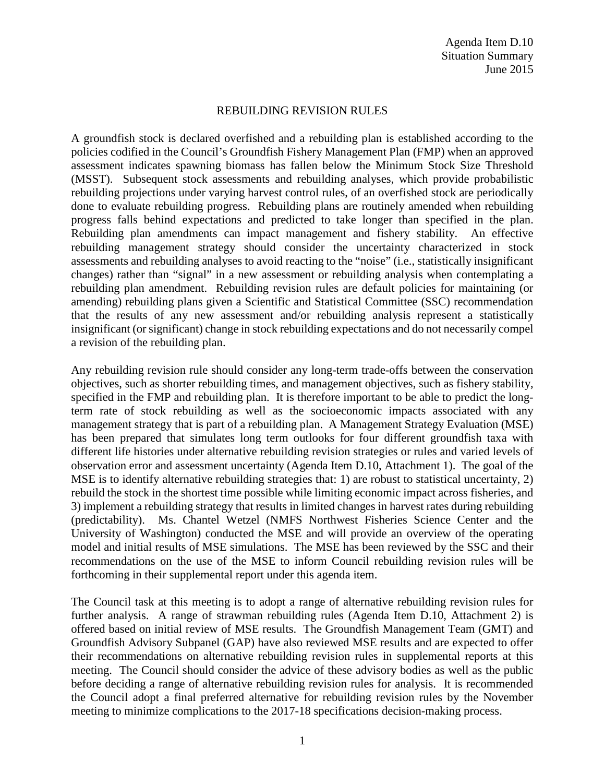## REBUILDING REVISION RULES

A groundfish stock is declared overfished and a rebuilding plan is established according to the policies codified in the Council's Groundfish Fishery Management Plan (FMP) when an approved assessment indicates spawning biomass has fallen below the Minimum Stock Size Threshold (MSST). Subsequent stock assessments and rebuilding analyses, which provide probabilistic rebuilding projections under varying harvest control rules, of an overfished stock are periodically done to evaluate rebuilding progress. Rebuilding plans are routinely amended when rebuilding progress falls behind expectations and predicted to take longer than specified in the plan. Rebuilding plan amendments can impact management and fishery stability. An effective rebuilding management strategy should consider the uncertainty characterized in stock assessments and rebuilding analyses to avoid reacting to the "noise" (i.e., statistically insignificant changes) rather than "signal" in a new assessment or rebuilding analysis when contemplating a rebuilding plan amendment. Rebuilding revision rules are default policies for maintaining (or amending) rebuilding plans given a Scientific and Statistical Committee (SSC) recommendation that the results of any new assessment and/or rebuilding analysis represent a statistically insignificant (or significant) change in stock rebuilding expectations and do not necessarily compel a revision of the rebuilding plan.

Any rebuilding revision rule should consider any long-term trade-offs between the conservation objectives, such as shorter rebuilding times, and management objectives, such as fishery stability, specified in the FMP and rebuilding plan. It is therefore important to be able to predict the longterm rate of stock rebuilding as well as the socioeconomic impacts associated with any management strategy that is part of a rebuilding plan. A Management Strategy Evaluation (MSE) has been prepared that simulates long term outlooks for four different groundfish taxa with different life histories under alternative rebuilding revision strategies or rules and varied levels of observation error and assessment uncertainty (Agenda Item D.10, Attachment 1). The goal of the MSE is to identify alternative rebuilding strategies that: 1) are robust to statistical uncertainty, 2) rebuild the stock in the shortest time possible while limiting economic impact across fisheries, and 3) implement a rebuilding strategy that results in limited changes in harvest rates during rebuilding (predictability). Ms. Chantel Wetzel (NMFS Northwest Fisheries Science Center and the University of Washington) conducted the MSE and will provide an overview of the operating model and initial results of MSE simulations. The MSE has been reviewed by the SSC and their recommendations on the use of the MSE to inform Council rebuilding revision rules will be forthcoming in their supplemental report under this agenda item.

The Council task at this meeting is to adopt a range of alternative rebuilding revision rules for further analysis. A range of strawman rebuilding rules (Agenda Item D.10, Attachment 2) is offered based on initial review of MSE results. The Groundfish Management Team (GMT) and Groundfish Advisory Subpanel (GAP) have also reviewed MSE results and are expected to offer their recommendations on alternative rebuilding revision rules in supplemental reports at this meeting. The Council should consider the advice of these advisory bodies as well as the public before deciding a range of alternative rebuilding revision rules for analysis. It is recommended the Council adopt a final preferred alternative for rebuilding revision rules by the November meeting to minimize complications to the 2017-18 specifications decision-making process.